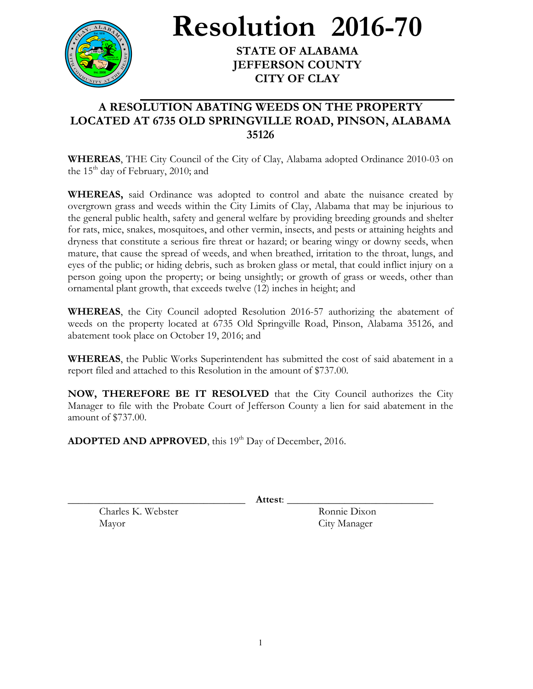

**Resolution 2016-70**

**STATE OF ALABAMA JEFFERSON COUNTY CITY OF CLAY**

## **A RESOLUTION ABATING WEEDS ON THE PROPERTY LOCATED AT 6735 OLD SPRINGVILLE ROAD, PINSON, ALABAMA 35126**

**WHEREAS**, THE City Council of the City of Clay, Alabama adopted Ordinance 2010-03 on the  $15<sup>th</sup>$  day of February, 2010; and

**WHEREAS,** said Ordinance was adopted to control and abate the nuisance created by overgrown grass and weeds within the City Limits of Clay, Alabama that may be injurious to the general public health, safety and general welfare by providing breeding grounds and shelter for rats, mice, snakes, mosquitoes, and other vermin, insects, and pests or attaining heights and dryness that constitute a serious fire threat or hazard; or bearing wingy or downy seeds, when mature, that cause the spread of weeds, and when breathed, irritation to the throat, lungs, and eyes of the public; or hiding debris, such as broken glass or metal, that could inflict injury on a person going upon the property; or being unsightly; or growth of grass or weeds, other than ornamental plant growth, that exceeds twelve (12) inches in height; and

**WHEREAS**, the City Council adopted Resolution 2016-57 authorizing the abatement of weeds on the property located at 6735 Old Springville Road, Pinson, Alabama 35126, and abatement took place on October 19, 2016; and

**WHEREAS**, the Public Works Superintendent has submitted the cost of said abatement in a report filed and attached to this Resolution in the amount of \$737.00.

**NOW, THEREFORE BE IT RESOLVED** that the City Council authorizes the City Manager to file with the Probate Court of Jefferson County a lien for said abatement in the amount of \$737.00.

ADOPTED AND APPROVED, this 19<sup>th</sup> Day of December, 2016.

\_\_\_\_\_\_\_\_\_\_\_\_\_\_\_\_\_\_\_\_\_\_\_\_\_\_\_\_\_\_\_\_\_\_ **Attest**: \_\_\_\_\_\_\_\_\_\_\_\_\_\_\_\_\_\_\_\_\_\_\_\_\_\_\_\_

Charles K. Webster Ronnie Dixon Mayor City Manager